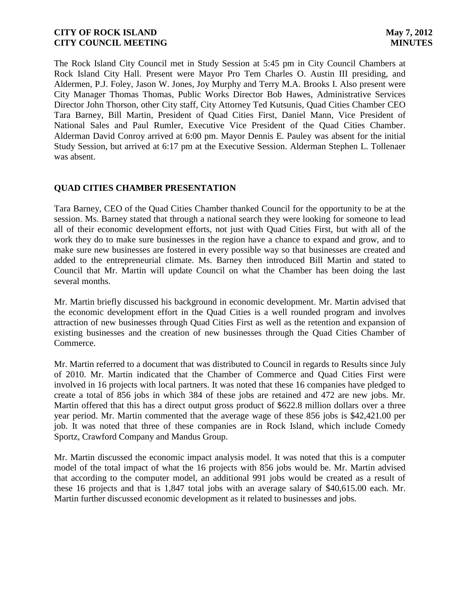The Rock Island City Council met in Study Session at 5:45 pm in City Council Chambers at Rock Island City Hall. Present were Mayor Pro Tem Charles O. Austin III presiding, and Aldermen, P.J. Foley, Jason W. Jones, Joy Murphy and Terry M.A. Brooks I. Also present were City Manager Thomas Thomas, Public Works Director Bob Hawes, Administrative Services Director John Thorson, other City staff, City Attorney Ted Kutsunis, Quad Cities Chamber CEO Tara Barney, Bill Martin, President of Quad Cities First, Daniel Mann, Vice President of National Sales and Paul Rumler, Executive Vice President of the Quad Cities Chamber. Alderman David Conroy arrived at 6:00 pm. Mayor Dennis E. Pauley was absent for the initial Study Session, but arrived at 6:17 pm at the Executive Session. Alderman Stephen L. Tollenaer was absent.

# **QUAD CITIES CHAMBER PRESENTATION**

Tara Barney, CEO of the Quad Cities Chamber thanked Council for the opportunity to be at the session. Ms. Barney stated that through a national search they were looking for someone to lead all of their economic development efforts, not just with Quad Cities First, but with all of the work they do to make sure businesses in the region have a chance to expand and grow, and to make sure new businesses are fostered in every possible way so that businesses are created and added to the entrepreneurial climate. Ms. Barney then introduced Bill Martin and stated to Council that Mr. Martin will update Council on what the Chamber has been doing the last several months.

Mr. Martin briefly discussed his background in economic development. Mr. Martin advised that the economic development effort in the Quad Cities is a well rounded program and involves attraction of new businesses through Quad Cities First as well as the retention and expansion of existing businesses and the creation of new businesses through the Quad Cities Chamber of Commerce.

Mr. Martin referred to a document that was distributed to Council in regards to Results since July of 2010. Mr. Martin indicated that the Chamber of Commerce and Quad Cities First were involved in 16 projects with local partners. It was noted that these 16 companies have pledged to create a total of 856 jobs in which 384 of these jobs are retained and 472 are new jobs. Mr. Martin offered that this has a direct output gross product of \$622.8 million dollars over a three year period. Mr. Martin commented that the average wage of these 856 jobs is \$42,421.00 per job. It was noted that three of these companies are in Rock Island, which include Comedy Sportz, Crawford Company and Mandus Group.

Mr. Martin discussed the economic impact analysis model. It was noted that this is a computer model of the total impact of what the 16 projects with 856 jobs would be. Mr. Martin advised that according to the computer model, an additional 991 jobs would be created as a result of these 16 projects and that is 1,847 total jobs with an average salary of \$40,615.00 each. Mr. Martin further discussed economic development as it related to businesses and jobs.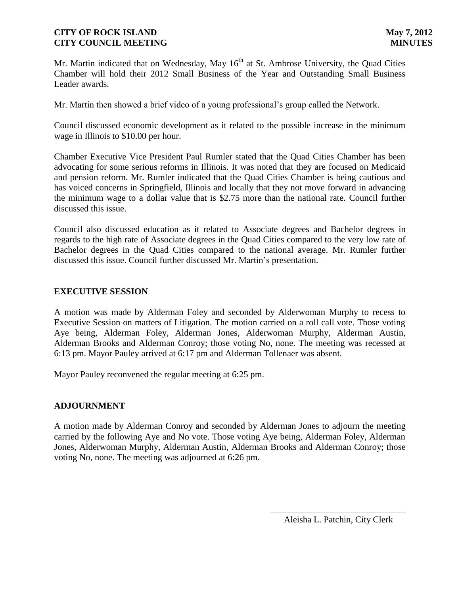Mr. Martin indicated that on Wednesday, May 16<sup>th</sup> at St. Ambrose University, the Quad Cities Chamber will hold their 2012 Small Business of the Year and Outstanding Small Business Leader awards.

Mr. Martin then showed a brief video of a young professional's group called the Network.

Council discussed economic development as it related to the possible increase in the minimum wage in Illinois to \$10.00 per hour.

Chamber Executive Vice President Paul Rumler stated that the Quad Cities Chamber has been advocating for some serious reforms in Illinois. It was noted that they are focused on Medicaid and pension reform. Mr. Rumler indicated that the Quad Cities Chamber is being cautious and has voiced concerns in Springfield, Illinois and locally that they not move forward in advancing the minimum wage to a dollar value that is \$2.75 more than the national rate. Council further discussed this issue.

Council also discussed education as it related to Associate degrees and Bachelor degrees in regards to the high rate of Associate degrees in the Quad Cities compared to the very low rate of Bachelor degrees in the Quad Cities compared to the national average. Mr. Rumler further discussed this issue. Council further discussed Mr. Martin's presentation.

# **EXECUTIVE SESSION**

A motion was made by Alderman Foley and seconded by Alderwoman Murphy to recess to Executive Session on matters of Litigation. The motion carried on a roll call vote. Those voting Aye being, Alderman Foley, Alderman Jones, Alderwoman Murphy, Alderman Austin, Alderman Brooks and Alderman Conroy; those voting No, none. The meeting was recessed at 6:13 pm. Mayor Pauley arrived at 6:17 pm and Alderman Tollenaer was absent.

Mayor Pauley reconvened the regular meeting at 6:25 pm.

### **ADJOURNMENT**

A motion made by Alderman Conroy and seconded by Alderman Jones to adjourn the meeting carried by the following Aye and No vote. Those voting Aye being, Alderman Foley, Alderman Jones, Alderwoman Murphy, Alderman Austin, Alderman Brooks and Alderman Conroy; those voting No, none. The meeting was adjourned at 6:26 pm.

\_\_\_\_\_\_\_\_\_\_\_\_\_\_\_\_\_\_\_\_\_\_\_\_\_\_\_\_\_\_ Aleisha L. Patchin, City Clerk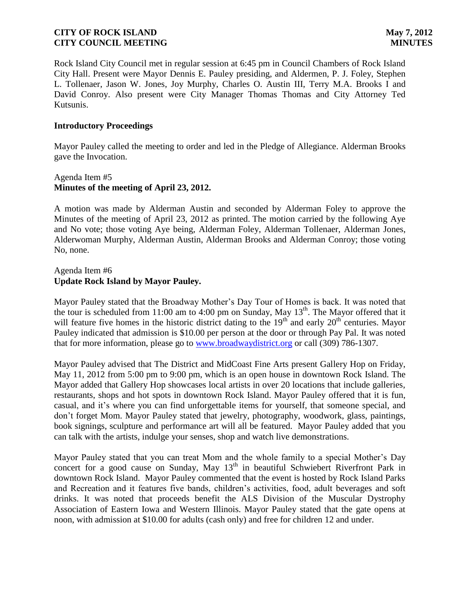Rock Island City Council met in regular session at 6:45 pm in Council Chambers of Rock Island City Hall. Present were Mayor Dennis E. Pauley presiding, and Aldermen, P. J. Foley, Stephen L. Tollenaer, Jason W. Jones, Joy Murphy, Charles O. Austin III, Terry M.A. Brooks I and David Conroy. Also present were City Manager Thomas Thomas and City Attorney Ted Kutsunis.

### **Introductory Proceedings**

Mayor Pauley called the meeting to order and led in the Pledge of Allegiance. Alderman Brooks gave the Invocation.

### Agenda Item #5 **Minutes of the meeting of April 23, 2012.**

A motion was made by Alderman Austin and seconded by Alderman Foley to approve the Minutes of the meeting of April 23, 2012 as printed. The motion carried by the following Aye and No vote; those voting Aye being, Alderman Foley, Alderman Tollenaer, Alderman Jones, Alderwoman Murphy, Alderman Austin, Alderman Brooks and Alderman Conroy; those voting No, none.

### Agenda Item #6 **Update Rock Island by Mayor Pauley.**

Mayor Pauley stated that the Broadway Mother's Day Tour of Homes is back. It was noted that the tour is scheduled from 11:00 am to 4:00 pm on Sunday, May  $13<sup>th</sup>$ . The Mayor offered that it will feature five homes in the historic district dating to the  $19<sup>th</sup>$  and early  $20<sup>th</sup>$  centuries. Mayor Pauley indicated that admission is \$10.00 per person at the door or through Pay Pal. It was noted that for more information, please go to [www.broadwaydistrict.org](http://www.broadwaydistrict.org/) or call (309) 786-1307.

Mayor Pauley advised that The District and MidCoast Fine Arts present Gallery Hop on Friday, May 11, 2012 from 5:00 pm to 9:00 pm, which is an open house in downtown Rock Island. The Mayor added that Gallery Hop showcases local artists in over 20 locations that include galleries, restaurants, shops and hot spots in downtown Rock Island. Mayor Pauley offered that it is fun, casual, and it's where you can find unforgettable items for yourself, that someone special, and don't forget Mom. Mayor Pauley stated that jewelry, photography, woodwork, glass, paintings, book signings, sculpture and performance art will all be featured. Mayor Pauley added that you can talk with the artists, indulge your senses, shop and watch live demonstrations.

Mayor Pauley stated that you can treat Mom and the whole family to a special Mother's Day concert for a good cause on Sunday, May 13<sup>th</sup> in beautiful Schwiebert Riverfront Park in downtown Rock Island. Mayor Pauley commented that the event is hosted by Rock Island Parks and Recreation and it features five bands, children's activities, food, adult beverages and soft drinks. It was noted that proceeds benefit the ALS Division of the Muscular Dystrophy Association of Eastern Iowa and Western Illinois. Mayor Pauley stated that the gate opens at noon, with admission at \$10.00 for adults (cash only) and free for children 12 and under.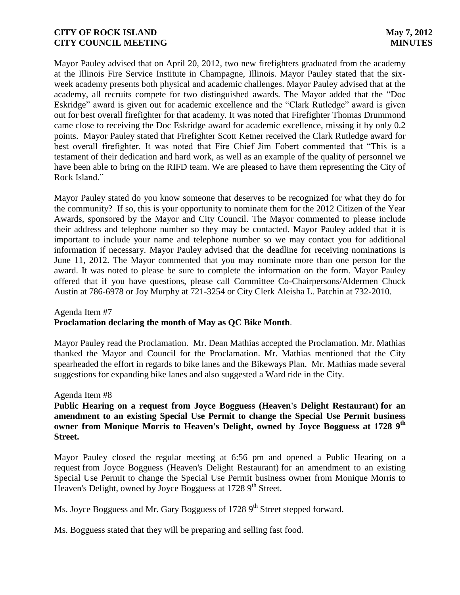Mayor Pauley advised that on April 20, 2012, two new firefighters graduated from the academy at the Illinois Fire Service Institute in Champagne, Illinois. Mayor Pauley stated that the sixweek academy presents both physical and academic challenges. Mayor Pauley advised that at the academy, all recruits compete for two distinguished awards. The Mayor added that the "Doc Eskridge" award is given out for academic excellence and the "Clark Rutledge" award is given out for best overall firefighter for that academy. It was noted that Firefighter Thomas Drummond came close to receiving the Doc Eskridge award for academic excellence, missing it by only 0.2 points. Mayor Pauley stated that Firefighter Scott Ketner received the Clark Rutledge award for best overall firefighter. It was noted that Fire Chief Jim Fobert commented that "This is a testament of their dedication and hard work, as well as an example of the quality of personnel we have been able to bring on the RIFD team. We are pleased to have them representing the City of Rock Island."

Mayor Pauley stated do you know someone that deserves to be recognized for what they do for the community? If so, this is your opportunity to nominate them for the 2012 Citizen of the Year Awards, sponsored by the Mayor and City Council. The Mayor commented to please include their address and telephone number so they may be contacted. Mayor Pauley added that it is important to include your name and telephone number so we may contact you for additional information if necessary. Mayor Pauley advised that the deadline for receiving nominations is June 11, 2012. The Mayor commented that you may nominate more than one person for the award. It was noted to please be sure to complete the information on the form. Mayor Pauley offered that if you have questions, please call Committee Co-Chairpersons/Aldermen Chuck Austin at 786-6978 or Joy Murphy at 721-3254 or City Clerk Aleisha L. Patchin at 732-2010.

### Agenda Item #7 **Proclamation declaring the month of May as QC Bike Month**.

 Mayor Pauley read the Proclamation. Mr. Dean Mathias accepted the Proclamation. Mr. Mathias thanked the Mayor and Council for the Proclamation. Mr. Mathias mentioned that the City spearheaded the effort in regards to bike lanes and the Bikeways Plan. Mr. Mathias made several suggestions for expanding bike lanes and also suggested a Ward ride in the City.

### Agenda Item #8

**Public Hearing on a request from Joyce Bogguess (Heaven's Delight Restaurant) for an amendment to an existing Special Use Permit to change the Special Use Permit business owner from Monique Morris to Heaven's Delight, owned by Joyce Bogguess at 1728 9th Street.**

Mayor Pauley closed the regular meeting at 6:56 pm and opened a Public Hearing on a request from Joyce Bogguess (Heaven's Delight Restaurant) for an amendment to an existing Special Use Permit to change the Special Use Permit business owner from Monique Morris to Heaven's Delight, owned by Joyce Bogguess at 1728 9<sup>th</sup> Street.

Ms. Joyce Bogguess and Mr. Gary Bogguess of 1728 9<sup>th</sup> Street stepped forward.

Ms. Bogguess stated that they will be preparing and selling fast food.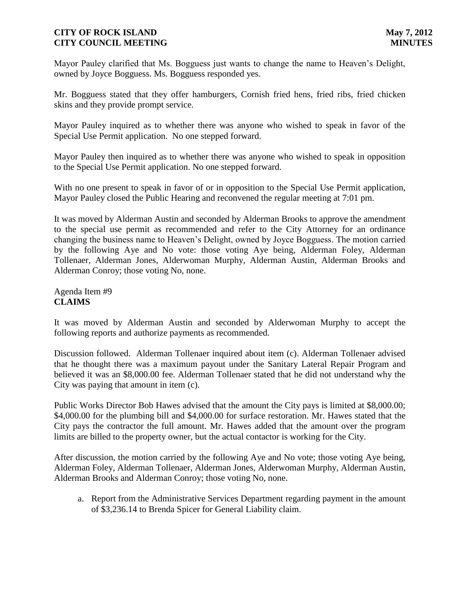Mayor Pauley clarified that Ms. Bogguess just wants to change the name to Heaven's Delight, owned by Joyce Bogguess. Ms. Bogguess responded yes.

Mr. Bogguess stated that they offer hamburgers, Cornish fried hens, fried ribs, fried chicken skins and they provide prompt service.

Mayor Pauley inquired as to whether there was anyone who wished to speak in favor of the Special Use Permit application. No one stepped forward.

Mayor Pauley then inquired as to whether there was anyone who wished to speak in opposition to the Special Use Permit application. No one stepped forward.

With no one present to speak in favor of or in opposition to the Special Use Permit application, Mayor Pauley closed the Public Hearing and reconvened the regular meeting at 7:01 pm.

It was moved by Alderman Austin and seconded by Alderman Brooks to approve the amendment to the special use permit as recommended and refer to the City Attorney for an ordinance changing the business name to Heaven's Delight, owned by Joyce Bogguess. The motion carried by the following Aye and No vote: those voting Aye being, Alderman Foley, Alderman Tollenaer, Alderman Jones, Alderwoman Murphy, Alderman Austin, Alderman Brooks and Alderman Conroy; those voting No, none.

# Agenda Item #9 **CLAIMS**

It was moved by Alderman Austin and seconded by Alderwoman Murphy to accept the following reports and authorize payments as recommended.

Discussion followed. Alderman Tollenaer inquired about item (c). Alderman Tollenaer advised that he thought there was a maximum payout under the Sanitary Lateral Repair Program and believed it was an \$8,000.00 fee. Alderman Tollenaer stated that he did not understand why the City was paying that amount in item (c).

Public Works Director Bob Hawes advised that the amount the City pays is limited at \$8,000.00; \$4,000.00 for the plumbing bill and \$4,000.00 for surface restoration. Mr. Hawes stated that the City pays the contractor the full amount. Mr. Hawes added that the amount over the program limits are billed to the property owner, but the actual contactor is working for the City.

After discussion, the motion carried by the following Aye and No vote; those voting Aye being, Alderman Foley, Alderman Tollenaer, Alderman Jones, Alderwoman Murphy, Alderman Austin, Alderman Brooks and Alderman Conroy; those voting No, none.

a. Report from the Administrative Services Department regarding payment in the amount of \$3,236.14 to Brenda Spicer for General Liability claim.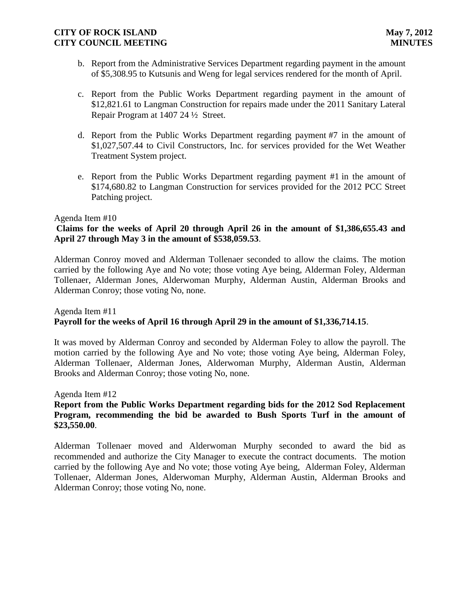- b. Report from the Administrative Services Department regarding payment in the amount of \$5,308.95 to Kutsunis and Weng for legal services rendered for the month of April.
- c. Report from the Public Works Department regarding payment in the amount of \$12,821.61 to Langman Construction for repairs made under the 2011 Sanitary Lateral Repair Program at 1407 24 ½ Street.
- d. Report from the Public Works Department regarding payment #7 in the amount of \$1,027,507.44 to Civil Constructors, Inc. for services provided for the Wet Weather Treatment System project.
- e. Report from the Public Works Department regarding payment #1 in the amount of \$174,680.82 to Langman Construction for services provided for the 2012 PCC Street Patching project.

#### Agenda Item #10

# **Claims for the weeks of April 20 through April 26 in the amount of \$1,386,655.43 and April 27 through May 3 in the amount of \$538,059.53**.

Alderman Conroy moved and Alderman Tollenaer seconded to allow the claims. The motion carried by the following Aye and No vote; those voting Aye being, Alderman Foley, Alderman Tollenaer, Alderman Jones, Alderwoman Murphy, Alderman Austin, Alderman Brooks and Alderman Conroy; those voting No, none.

#### Agenda Item #11 **Payroll for the weeks of April 16 through April 29 in the amount of \$1,336,714.15**.

It was moved by Alderman Conroy and seconded by Alderman Foley to allow the payroll. The motion carried by the following Aye and No vote; those voting Aye being, Alderman Foley, Alderman Tollenaer, Alderman Jones, Alderwoman Murphy, Alderman Austin, Alderman Brooks and Alderman Conroy; those voting No, none.

Agenda Item #12

## **Report from the Public Works Department regarding bids for the 2012 Sod Replacement Program, recommending the bid be awarded to Bush Sports Turf in the amount of \$23,550.00**.

Alderman Tollenaer moved and Alderwoman Murphy seconded to award the bid as recommended and authorize the City Manager to execute the contract documents. The motion carried by the following Aye and No vote; those voting Aye being, Alderman Foley, Alderman Tollenaer, Alderman Jones, Alderwoman Murphy, Alderman Austin, Alderman Brooks and Alderman Conroy; those voting No, none.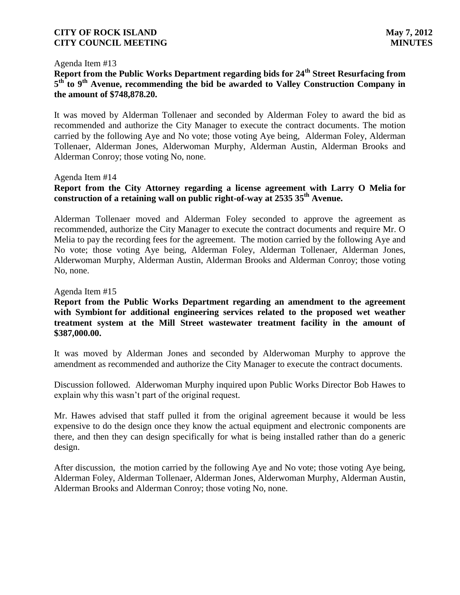#### Agenda Item #13

# **Report from the Public Works Department regarding bids for 24th Street Resurfacing from**  5<sup>th</sup> to 9<sup>th</sup> Avenue, recommending the bid be awarded to Valley Construction Company in **the amount of \$748,878.20.**

It was moved by Alderman Tollenaer and seconded by Alderman Foley to award the bid as recommended and authorize the City Manager to execute the contract documents. The motion carried by the following Aye and No vote; those voting Aye being, Alderman Foley, Alderman Tollenaer, Alderman Jones, Alderwoman Murphy, Alderman Austin, Alderman Brooks and Alderman Conroy; those voting No, none.

#### Agenda Item #14

# **Report from the City Attorney regarding a license agreement with Larry O Melia for construction of a retaining wall on public right-of-way at 2535 35th Avenue.**

Alderman Tollenaer moved and Alderman Foley seconded to approve the agreement as recommended, authorize the City Manager to execute the contract documents and require Mr. O Melia to pay the recording fees for the agreement. The motion carried by the following Aye and No vote; those voting Aye being, Alderman Foley, Alderman Tollenaer, Alderman Jones, Alderwoman Murphy, Alderman Austin, Alderman Brooks and Alderman Conroy; those voting No, none.

#### Agenda Item #15

# **Report from the Public Works Department regarding an amendment to the agreement with Symbiont for additional engineering services related to the proposed wet weather treatment system at the Mill Street wastewater treatment facility in the amount of \$387,000.00.**

It was moved by Alderman Jones and seconded by Alderwoman Murphy to approve the amendment as recommended and authorize the City Manager to execute the contract documents.

Discussion followed. Alderwoman Murphy inquired upon Public Works Director Bob Hawes to explain why this wasn't part of the original request.

Mr. Hawes advised that staff pulled it from the original agreement because it would be less expensive to do the design once they know the actual equipment and electronic components are there, and then they can design specifically for what is being installed rather than do a generic design.

After discussion, the motion carried by the following Aye and No vote; those voting Aye being, Alderman Foley, Alderman Tollenaer, Alderman Jones, Alderwoman Murphy, Alderman Austin, Alderman Brooks and Alderman Conroy; those voting No, none.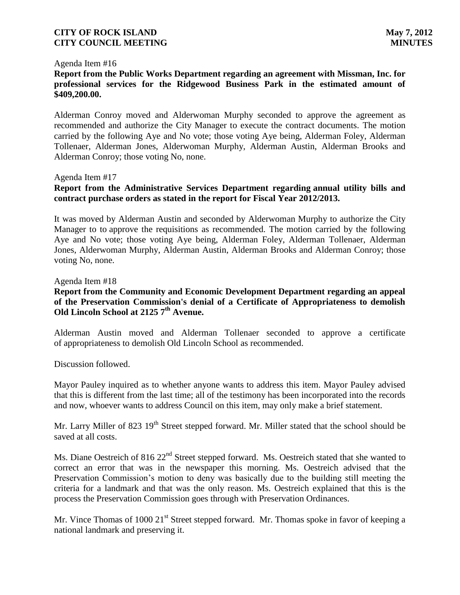#### Agenda Item #16

# **Report from the Public Works Department regarding an agreement with Missman, Inc. for professional services for the Ridgewood Business Park in the estimated amount of \$409,200.00.**

Alderman Conroy moved and Alderwoman Murphy seconded to approve the agreement as recommended and authorize the City Manager to execute the contract documents. The motion carried by the following Aye and No vote; those voting Aye being, Alderman Foley, Alderman Tollenaer, Alderman Jones, Alderwoman Murphy, Alderman Austin, Alderman Brooks and Alderman Conroy; those voting No, none.

#### Agenda Item #17

### **Report from the Administrative Services Department regarding annual utility bills and contract purchase orders as stated in the report for Fiscal Year 2012/2013.**

It was moved by Alderman Austin and seconded by Alderwoman Murphy to authorize the City Manager to to approve the requisitions as recommended. The motion carried by the following Aye and No vote; those voting Aye being, Alderman Foley, Alderman Tollenaer, Alderman Jones, Alderwoman Murphy, Alderman Austin, Alderman Brooks and Alderman Conroy; those voting No, none.

#### Agenda Item #18

### **Report from the Community and Economic Development Department regarding an appeal of the Preservation Commission's denial of a Certificate of Appropriateness to demolish Old Lincoln School at 2125 7th Avenue.**

Alderman Austin moved and Alderman Tollenaer seconded to approve a certificate of appropriateness to demolish Old Lincoln School as recommended.

Discussion followed.

Mayor Pauley inquired as to whether anyone wants to address this item. Mayor Pauley advised that this is different from the last time; all of the testimony has been incorporated into the records and now, whoever wants to address Council on this item, may only make a brief statement.

Mr. Larry Miller of 823 19<sup>th</sup> Street stepped forward. Mr. Miller stated that the school should be saved at all costs.

Ms. Diane Oestreich of 816 22<sup>nd</sup> Street stepped forward. Ms. Oestreich stated that she wanted to correct an error that was in the newspaper this morning. Ms. Oestreich advised that the Preservation Commission's motion to deny was basically due to the building still meeting the criteria for a landmark and that was the only reason. Ms. Oestreich explained that this is the process the Preservation Commission goes through with Preservation Ordinances.

Mr. Vince Thomas of 1000  $21<sup>st</sup>$  Street stepped forward. Mr. Thomas spoke in favor of keeping a national landmark and preserving it.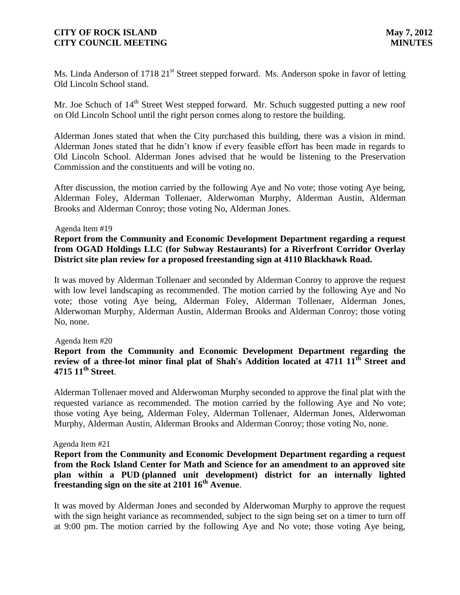Ms. Linda Anderson of 1718 21<sup>st</sup> Street stepped forward. Ms. Anderson spoke in favor of letting Old Lincoln School stand.

Mr. Joe Schuch of 14<sup>th</sup> Street West stepped forward. Mr. Schuch suggested putting a new roof on Old Lincoln School until the right person comes along to restore the building.

Alderman Jones stated that when the City purchased this building, there was a vision in mind. Alderman Jones stated that he didn't know if every feasible effort has been made in regards to Old Lincoln School. Alderman Jones advised that he would be listening to the Preservation Commission and the constituents and will be voting no.

After discussion, the motion carried by the following Aye and No vote; those voting Aye being, Alderman Foley, Alderman Tollenaer, Alderwoman Murphy, Alderman Austin, Alderman Brooks and Alderman Conroy; those voting No, Alderman Jones.

#### Agenda Item #19

# **Report from the Community and Economic Development Department regarding a request from OGAD Holdings LLC (for Subway Restaurants) for a Riverfront Corridor Overlay District site plan review for a proposed freestanding sign at 4110 Blackhawk Road.**

It was moved by Alderman Tollenaer and seconded by Alderman Conroy to approve the request with low level landscaping as recommended. The motion carried by the following Aye and No vote; those voting Aye being, Alderman Foley, Alderman Tollenaer, Alderman Jones, Alderwoman Murphy, Alderman Austin, Alderman Brooks and Alderman Conroy; those voting No, none.

#### Agenda Item #20

# **Report from the Community and Economic Development Department regarding the review of a three-lot minor final plat of Shah's Addition located at 4711 11th Street and 4715 11th Street**.

Alderman Tollenaer moved and Alderwoman Murphy seconded to approve the final plat with the requested variance as recommended. The motion carried by the following Aye and No vote; those voting Aye being, Alderman Foley, Alderman Tollenaer, Alderman Jones, Alderwoman Murphy, Alderman Austin, Alderman Brooks and Alderman Conroy; those voting No, none.

#### Agenda Item #21

**Report from the Community and Economic Development Department regarding a request from the Rock Island Center for Math and Science for an amendment to an approved site plan within a PUD (planned unit development) district for an internally lighted freestanding sign on the site at 2101 16th Avenue**.

It was moved by Alderman Jones and seconded by Alderwoman Murphy to approve the request with the sign height variance as recommended, subject to the sign being set on a timer to turn off at 9:00 pm. The motion carried by the following Aye and No vote; those voting Aye being,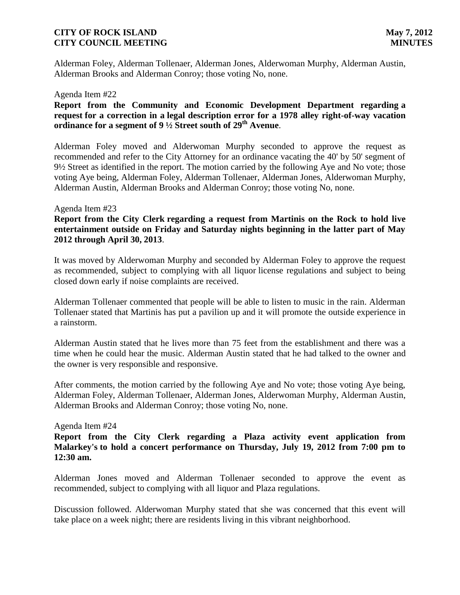Alderman Foley, Alderman Tollenaer, Alderman Jones, Alderwoman Murphy, Alderman Austin, Alderman Brooks and Alderman Conroy; those voting No, none.

#### Agenda Item #22

### **Report from the Community and Economic Development Department regarding a request for a correction in a legal description error for a 1978 alley right-of-way vacation ordinance for a segment of 9 ½ Street south of 29th Avenue**.

Alderman Foley moved and Alderwoman Murphy seconded to approve the request as recommended and refer to the City Attorney for an ordinance vacating the 40' by 50' segment of 9½ Street as identified in the report. The motion carried by the following Aye and No vote; those voting Aye being, Alderman Foley, Alderman Tollenaer, Alderman Jones, Alderwoman Murphy, Alderman Austin, Alderman Brooks and Alderman Conroy; those voting No, none.

#### Agenda Item #23

## **Report from the City Clerk regarding a request from Martinis on the Rock to hold live entertainment outside on Friday and Saturday nights beginning in the latter part of May 2012 through April 30, 2013**.

It was moved by Alderwoman Murphy and seconded by Alderman Foley to approve the request as recommended, subject to complying with all liquor license regulations and subject to being closed down early if noise complaints are received.

Alderman Tollenaer commented that people will be able to listen to music in the rain. Alderman Tollenaer stated that Martinis has put a pavilion up and it will promote the outside experience in a rainstorm.

Alderman Austin stated that he lives more than 75 feet from the establishment and there was a time when he could hear the music. Alderman Austin stated that he had talked to the owner and the owner is very responsible and responsive.

After comments, the motion carried by the following Aye and No vote; those voting Aye being, Alderman Foley, Alderman Tollenaer, Alderman Jones, Alderwoman Murphy, Alderman Austin, Alderman Brooks and Alderman Conroy; those voting No, none.

#### Agenda Item #24

# **Report from the City Clerk regarding a Plaza activity event application from Malarkey's to hold a concert performance on Thursday, July 19, 2012 from 7:00 pm to 12:30 am.**

Alderman Jones moved and Alderman Tollenaer seconded to approve the event as recommended, subject to complying with all liquor and Plaza regulations.

Discussion followed. Alderwoman Murphy stated that she was concerned that this event will take place on a week night; there are residents living in this vibrant neighborhood.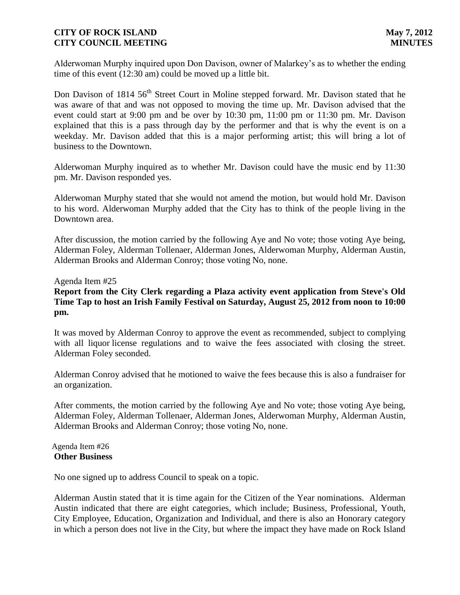Alderwoman Murphy inquired upon Don Davison, owner of Malarkey's as to whether the ending time of this event (12:30 am) could be moved up a little bit.

Don Davison of 1814 56<sup>th</sup> Street Court in Moline stepped forward. Mr. Davison stated that he was aware of that and was not opposed to moving the time up. Mr. Davison advised that the event could start at 9:00 pm and be over by 10:30 pm, 11:00 pm or 11:30 pm. Mr. Davison explained that this is a pass through day by the performer and that is why the event is on a weekday. Mr. Davison added that this is a major performing artist; this will bring a lot of business to the Downtown.

Alderwoman Murphy inquired as to whether Mr. Davison could have the music end by 11:30 pm. Mr. Davison responded yes.

Alderwoman Murphy stated that she would not amend the motion, but would hold Mr. Davison to his word. Alderwoman Murphy added that the City has to think of the people living in the Downtown area.

After discussion, the motion carried by the following Aye and No vote; those voting Aye being, Alderman Foley, Alderman Tollenaer, Alderman Jones, Alderwoman Murphy, Alderman Austin, Alderman Brooks and Alderman Conroy; those voting No, none.

#### Agenda Item #25

## **Report from the City Clerk regarding a Plaza activity event application from Steve's Old Time Tap to host an Irish Family Festival on Saturday, August 25, 2012 from noon to 10:00 pm.**

It was moved by Alderman Conroy to approve the event as recommended, subject to complying with all liquor license regulations and to waive the fees associated with closing the street. Alderman Foley seconded.

Alderman Conroy advised that he motioned to waive the fees because this is also a fundraiser for an organization.

After comments, the motion carried by the following Aye and No vote; those voting Aye being, Alderman Foley, Alderman Tollenaer, Alderman Jones, Alderwoman Murphy, Alderman Austin, Alderman Brooks and Alderman Conroy; those voting No, none.

#### Agenda Item #26 **Other Business**

No one signed up to address Council to speak on a topic.

Alderman Austin stated that it is time again for the Citizen of the Year nominations. Alderman Austin indicated that there are eight categories, which include; Business, Professional, Youth, City Employee, Education, Organization and Individual, and there is also an Honorary category in which a person does not live in the City, but where the impact they have made on Rock Island